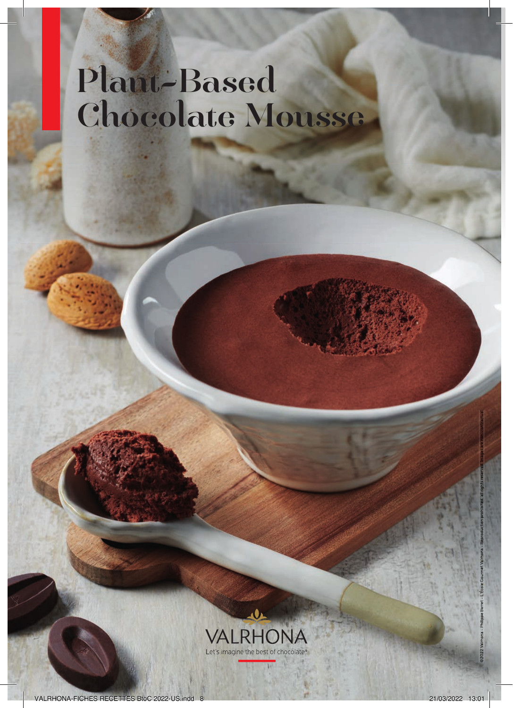## Plant-Based Chocolate Mousse



©2022 Valrhona – Philippe Barret – L'École Gourmet Valrhona – Reproduction prohibited, all rights reserved. Images are non-contractual.